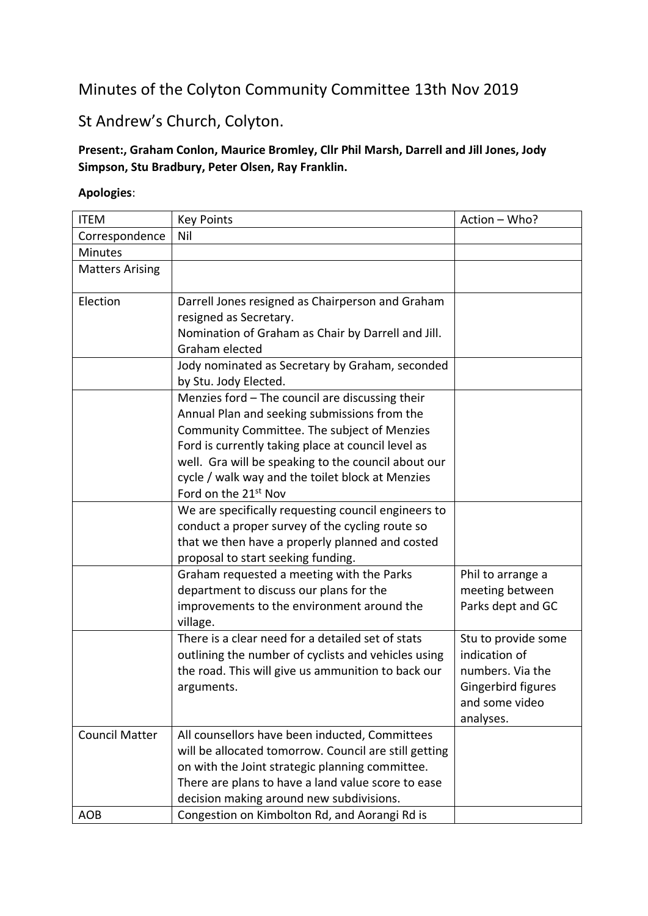## Minutes of the Colyton Community Committee 13th Nov 2019

## St Andrew's Church, Colyton.

## **Present:, Graham Conlon, Maurice Bromley, Cllr Phil Marsh, Darrell and Jill Jones, Jody Simpson, Stu Bradbury, Peter Olsen, Ray Franklin.**

## **Apologies**:

| <b>ITEM</b>            | <b>Key Points</b>                                                                                                                                                                                                                                                                                                                                   | Action - Who?                                                                                                 |
|------------------------|-----------------------------------------------------------------------------------------------------------------------------------------------------------------------------------------------------------------------------------------------------------------------------------------------------------------------------------------------------|---------------------------------------------------------------------------------------------------------------|
| Correspondence         | Nil                                                                                                                                                                                                                                                                                                                                                 |                                                                                                               |
| <b>Minutes</b>         |                                                                                                                                                                                                                                                                                                                                                     |                                                                                                               |
| <b>Matters Arising</b> |                                                                                                                                                                                                                                                                                                                                                     |                                                                                                               |
| Election               | Darrell Jones resigned as Chairperson and Graham<br>resigned as Secretary.<br>Nomination of Graham as Chair by Darrell and Jill.<br>Graham elected                                                                                                                                                                                                  |                                                                                                               |
|                        | Jody nominated as Secretary by Graham, seconded<br>by Stu. Jody Elected.                                                                                                                                                                                                                                                                            |                                                                                                               |
|                        | Menzies ford - The council are discussing their<br>Annual Plan and seeking submissions from the<br>Community Committee. The subject of Menzies<br>Ford is currently taking place at council level as<br>well. Gra will be speaking to the council about our<br>cycle / walk way and the toilet block at Menzies<br>Ford on the 21 <sup>st</sup> Nov |                                                                                                               |
|                        | We are specifically requesting council engineers to<br>conduct a proper survey of the cycling route so<br>that we then have a properly planned and costed<br>proposal to start seeking funding.                                                                                                                                                     |                                                                                                               |
|                        | Graham requested a meeting with the Parks<br>department to discuss our plans for the<br>improvements to the environment around the<br>village.                                                                                                                                                                                                      | Phil to arrange a<br>meeting between<br>Parks dept and GC                                                     |
|                        | There is a clear need for a detailed set of stats<br>outlining the number of cyclists and vehicles using<br>the road. This will give us ammunition to back our<br>arguments.                                                                                                                                                                        | Stu to provide some<br>indication of<br>numbers. Via the<br>Gingerbird figures<br>and some video<br>analyses. |
| <b>Council Matter</b>  | All counsellors have been inducted, Committees<br>will be allocated tomorrow. Council are still getting<br>on with the Joint strategic planning committee.<br>There are plans to have a land value score to ease<br>decision making around new subdivisions.                                                                                        |                                                                                                               |
| <b>AOB</b>             | Congestion on Kimbolton Rd, and Aorangi Rd is                                                                                                                                                                                                                                                                                                       |                                                                                                               |